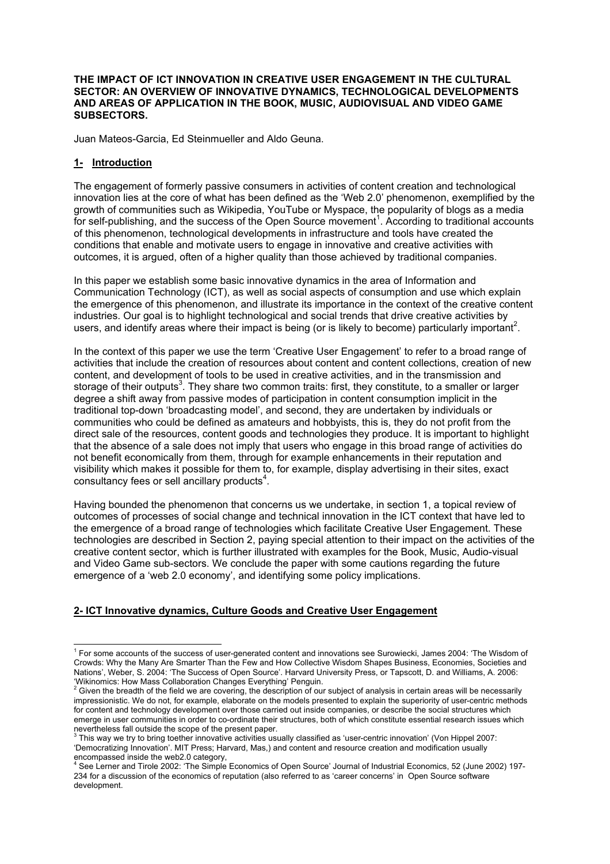### **THE IMPACT OF ICT INNOVATION IN CREATIVE USER ENGAGEMENT IN THE CULTURAL SECTOR: AN OVERVIEW OF INNOVATIVE DYNAMICS, TECHNOLOGICAL DEVELOPMENTS AND AREAS OF APPLICATION IN THE BOOK, MUSIC, AUDIOVISUAL AND VIDEO GAME SUBSECTORS.**

Juan Mateos-Garcia, Ed Steinmueller and Aldo Geuna.

# **1- Introduction**

The engagement of formerly passive consumers in activities of content creation and technological innovation lies at the core of what has been defined as the 'Web 2.0' phenomenon, exemplified by the growth of communities such as Wikipedia, YouTube or Myspace, the popularity of blogs as a media for self-publishing, and the success of the Open Source movement<sup>1</sup>. According to traditional accounts of this phenomenon, technological developments in infrastructure and tools have created the conditions that enable and motivate users to engage in innovative and creative activities with outcomes, it is argued, often of a higher quality than those achieved by traditional companies.

In this paper we establish some basic innovative dynamics in the area of Information and Communication Technology (ICT), as well as social aspects of consumption and use which explain the emergence of this phenomenon, and illustrate its importance in the context of the creative content industries. Our goal is to highlight technological and social trends that drive creative activities by users, and identify areas where their impact is being (or is likely to become) particularly important<sup>2</sup>.

In the context of this paper we use the term 'Creative User Engagement' to refer to a broad range of activities that include the creation of resources about content and content collections, creation of new content, and development of tools to be used in creative activities, and in the transmission and storage of their outputs<sup>3</sup>. They share two common traits: first, they constitute, to a smaller or larger degree a shift away from passive modes of participation in content consumption implicit in the traditional top-down 'broadcasting model', and second, they are undertaken by individuals or communities who could be defined as amateurs and hobbyists, this is, they do not profit from the direct sale of the resources, content goods and technologies they produce. It is important to highlight that the absence of a sale does not imply that users who engage in this broad range of activities do not benefit economically from them, through for example enhancements in their reputation and visibility which makes it possible for them to, for example, display advertising in their sites, exact consultancy fees or sell ancillary products<sup>4</sup>.

Having bounded the phenomenon that concerns us we undertake, in section 1, a topical review of outcomes of processes of social change and technical innovation in the ICT context that have led to the emergence of a broad range of technologies which facilitate Creative User Engagement. These technologies are described in Section 2, paying special attention to their impact on the activities of the creative content sector, which is further illustrated with examples for the Book, Music, Audio-visual and Video Game sub-sectors. We conclude the paper with some cautions regarding the future emergence of a 'web 2.0 economy', and identifying some policy implications.

## **2- ICT Innovative dynamics, Culture Goods and Creative User Engagement**

 $\frac{1}{1}$ <sup>1</sup> For some accounts of the success of user-generated content and innovations see Surowiecki, James 2004: 'The Wisdom of Crowds: Why the Many Are Smarter Than the Few and How Collective Wisdom Shapes Business, Economies, Societies and Nations', Weber, S. 2004: 'The Success of Open Source'. Harvard University Press, or Tapscott, D. and Williams, A. 2006:

<sup>&#</sup>x27;Wikinomics: How Mass Collaboration Changes Everything' Penguin.<br><sup>2</sup> Given the breadth of the field we are covering, the description of our subject of analysis in certain areas will be necessarily impressionistic. We do not, for example, elaborate on the models presented to explain the superiority of user-centric methods for content and technology development over those carried out inside companies, or describe the social structures which emerge in user communities in order to co-ordinate their structures, both of which constitute essential research issues which nevertheless fall outside the scope of the present paper.<br><sup>3</sup> This way we try to bring toether innovative activities usually classified as 'user-centric innovation' (Von Hippel 2007:

<sup>&#</sup>x27;Democratizing Innovation'. MIT Press; Harvard, Mas,) and content and resource creation and modification usually encompassed inside the web2.0 category,<br><sup>4</sup> See Lerner and Tirole 2002: 'The Simple

See Lerner and Tirole 2002: 'The Simple Economics of Open Source' Journal of Industrial Economics, 52 (June 2002) 197- 234 for a discussion of the economics of reputation (also referred to as 'career concerns' in Open Source software development.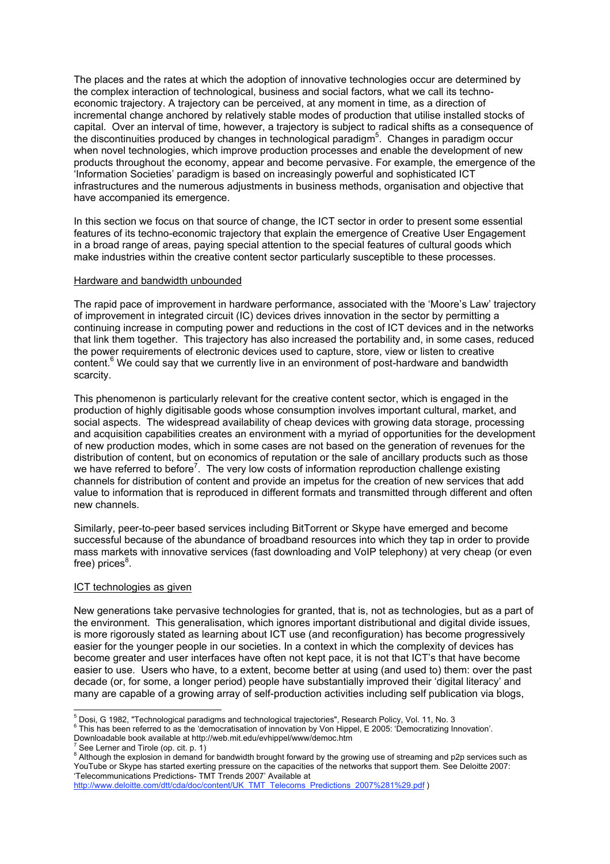The places and the rates at which the adoption of innovative technologies occur are determined by the complex interaction of technological, business and social factors, what we call its technoeconomic trajectory. A trajectory can be perceived, at any moment in time, as a direction of incremental change anchored by relatively stable modes of production that utilise installed stocks of capital. Over an interval of time, however, a trajectory is subject to radical shifts as a consequence of the discontinuities produced by changes in technological paradigm<sup>5</sup>. Changes in paradigm occur when novel technologies, which improve production processes and enable the development of new products throughout the economy, appear and become pervasive. For example, the emergence of the 'Information Societies' paradigm is based on increasingly powerful and sophisticated ICT infrastructures and the numerous adjustments in business methods, organisation and objective that have accompanied its emergence.

In this section we focus on that source of change, the ICT sector in order to present some essential features of its techno-economic trajectory that explain the emergence of Creative User Engagement in a broad range of areas, paying special attention to the special features of cultural goods which make industries within the creative content sector particularly susceptible to these processes.

#### Hardware and bandwidth unbounded

The rapid pace of improvement in hardware performance, associated with the 'Moore's Law' trajectory of improvement in integrated circuit (IC) devices drives innovation in the sector by permitting a continuing increase in computing power and reductions in the cost of ICT devices and in the networks that link them together. This trajectory has also increased the portability and, in some cases, reduced the power requirements of electronic devices used to capture, store, view or listen to creative content.<sup>6</sup> We could say that we currently live in an environment of post-hardware and bandwidth scarcity.

This phenomenon is particularly relevant for the creative content sector, which is engaged in the production of highly digitisable goods whose consumption involves important cultural, market, and social aspects. The widespread availability of cheap devices with growing data storage, processing and acquisition capabilities creates an environment with a myriad of opportunities for the development of new production modes, which in some cases are not based on the generation of revenues for the distribution of content, but on economics of reputation or the sale of ancillary products such as those we have referred to before<sup>7</sup>. The very low costs of information reproduction challenge existing channels for distribution of content and provide an impetus for the creation of new services that add value to information that is reproduced in different formats and transmitted through different and often new channels.

Similarly, peer-to-peer based services including BitTorrent or Skype have emerged and become successful because of the abundance of broadband resources into which they tap in order to provide mass markets with innovative services (fast downloading and VoIP telephony) at very cheap (or even free) prices $^8$ .

#### ICT technologies as given

New generations take pervasive technologies for granted, that is, not as technologies, but as a part of the environment. This generalisation, which ignores important distributional and digital divide issues, is more rigorously stated as learning about ICT use (and reconfiguration) has become progressively easier for the younger people in our societies. In a context in which the complexity of devices has become greater and user interfaces have often not kept pace, it is not that ICT's that have become easier to use. Users who have, to a extent, become better at using (and used to) them: over the past decade (or, for some, a longer period) people have substantially improved their 'digital literacy' and many are capable of a growing array of self-production activities including self publication via blogs,

 <sup>5</sup> Dosi, G 1982, "Technological paradigms and technological trajectories", Research Policy, Vol. 11, No. 3

<sup>&</sup>lt;sup>6</sup> This has been referred to as the 'democratisation of innovation by Von Hippel, E 2005: 'Democratizing Innovation'.

Downloadable book available at http://web.mit.edu/evhippel/www/democ.htm <sup>7</sup>

See Lerner and Tirole (op. cit. p. 1)

<sup>&</sup>lt;sup>8</sup> Although the explosion in demand for bandwidth brought forward by the growing use of streaming and p2p services such as YouTube or Skype has started exerting pressure on the capacities of the networks that support them. See Deloitte 2007: 'Telecommunications Predictions- TMT Trends 2007' Available at

http://www.deloitte.com/dtt/cda/doc/content/UK\_TMT\_Telecoms\_Predictions\_2007%281%29.pdf )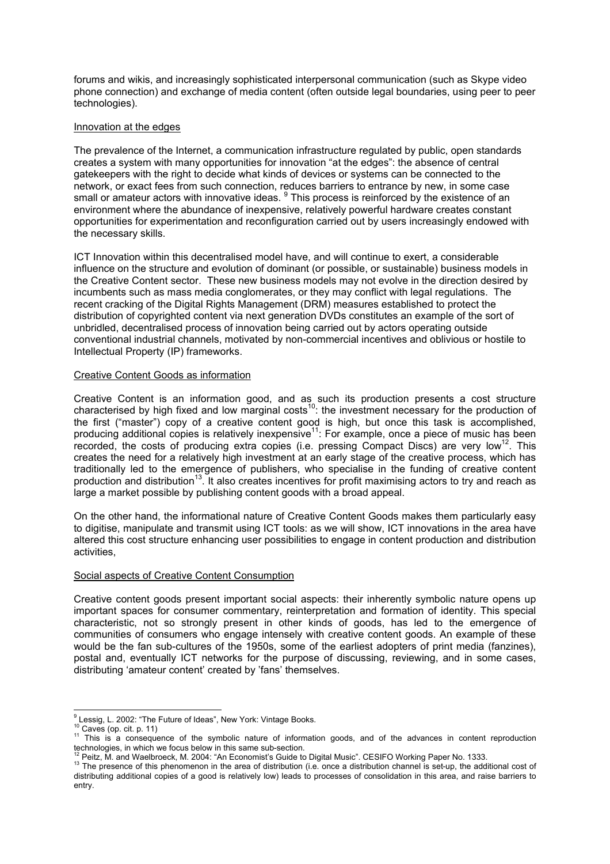forums and wikis, and increasingly sophisticated interpersonal communication (such as Skype video phone connection) and exchange of media content (often outside legal boundaries, using peer to peer technologies).

### Innovation at the edges

The prevalence of the Internet, a communication infrastructure regulated by public, open standards creates a system with many opportunities for innovation "at the edges": the absence of central gatekeepers with the right to decide what kinds of devices or systems can be connected to the network, or exact fees from such connection, reduces barriers to entrance by new, in some case small or amateur actors with innovative ideas. <sup>9</sup> This process is reinforced by the existence of an environment where the abundance of inexpensive, relatively powerful hardware creates constant opportunities for experimentation and reconfiguration carried out by users increasingly endowed with the necessary skills.

ICT Innovation within this decentralised model have, and will continue to exert, a considerable influence on the structure and evolution of dominant (or possible, or sustainable) business models in the Creative Content sector. These new business models may not evolve in the direction desired by incumbents such as mass media conglomerates, or they may conflict with legal regulations. The recent cracking of the Digital Rights Management (DRM) measures established to protect the distribution of copyrighted content via next generation DVDs constitutes an example of the sort of unbridled, decentralised process of innovation being carried out by actors operating outside conventional industrial channels, motivated by non-commercial incentives and oblivious or hostile to Intellectual Property (IP) frameworks.

#### Creative Content Goods as information

Creative Content is an information good, and as such its production presents a cost structure characterised by high fixed and low marginal costs<sup>10</sup>: the investment necessary for the production of the first ("master") copy of a creative content good is high, but once this task is accomplished, producing additional copies is relatively inexpensive<sup>11</sup>: For example, once a piece of music has been recorded, the costs of producing extra copies (i.e. pressing Compact Discs) are very low<sup>12</sup>. This creates the need for a relatively high investment at an early stage of the creative process, which has traditionally led to the emergence of publishers, who specialise in the funding of creative content production and distribution<sup>13</sup>. It also creates incentives for profit maximising actors to try and reach as large a market possible by publishing content goods with a broad appeal.

On the other hand, the informational nature of Creative Content Goods makes them particularly easy to digitise, manipulate and transmit using ICT tools: as we will show, ICT innovations in the area have altered this cost structure enhancing user possibilities to engage in content production and distribution activities,

#### Social aspects of Creative Content Consumption

Creative content goods present important social aspects: their inherently symbolic nature opens up important spaces for consumer commentary, reinterpretation and formation of identity. This special characteristic, not so strongly present in other kinds of goods, has led to the emergence of communities of consumers who engage intensely with creative content goods. An example of these would be the fan sub-cultures of the 1950s, some of the earliest adopters of print media (fanzines), postal and, eventually ICT networks for the purpose of discussing, reviewing, and in some cases, distributing 'amateur content' created by 'fans' themselves.

<sup>-&</sup>lt;br>9 <sup>9</sup> Lessig, L. 2002: "The Future of Ideas", New York: Vintage Books.

<sup>10</sup> Caves (op. cit. p. 11)<br><sup>10</sup> Caves (op. cit. p. 11)<br><sup>11</sup> This is a consequence of the symbolic nature of information goods, and of the advances in content reproduction

<sup>&</sup>lt;sup>12</sup> Peitz, M. and Waelbroeck, M. 2004: "An Economist's Guide to Digital Music". CESIFO Working Paper No. 1333.<br><sup>13</sup> The presence of this phenomenon in the area of distribution (i.e. once a distribution channel is set-up,

distributing additional copies of a good is relatively low) leads to processes of consolidation in this area, and raise barriers to entry.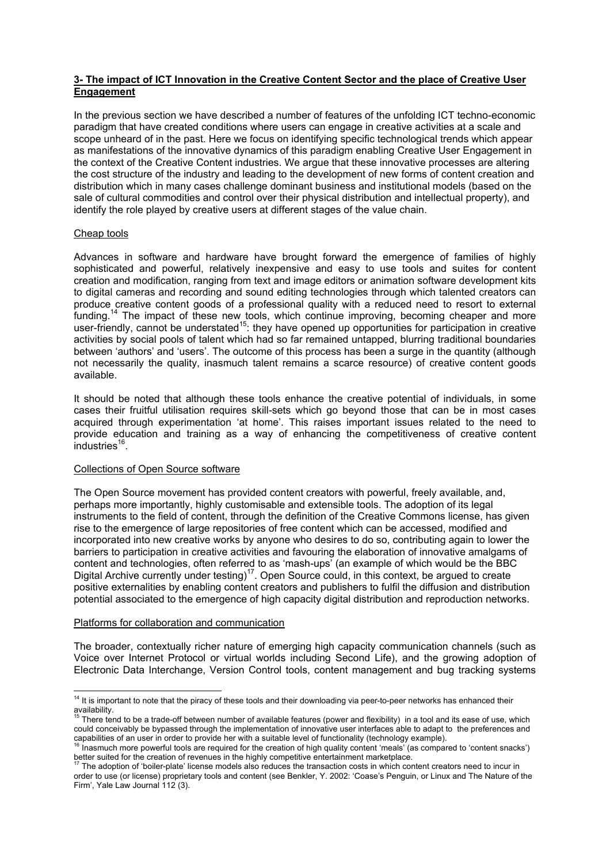## **3- The impact of ICT Innovation in the Creative Content Sector and the place of Creative User Engagement**

In the previous section we have described a number of features of the unfolding ICT techno-economic paradigm that have created conditions where users can engage in creative activities at a scale and scope unheard of in the past. Here we focus on identifying specific technological trends which appear as manifestations of the innovative dynamics of this paradigm enabling Creative User Engagement in the context of the Creative Content industries. We argue that these innovative processes are altering the cost structure of the industry and leading to the development of new forms of content creation and distribution which in many cases challenge dominant business and institutional models (based on the sale of cultural commodities and control over their physical distribution and intellectual property), and identify the role played by creative users at different stages of the value chain.

## Cheap tools

Advances in software and hardware have brought forward the emergence of families of highly sophisticated and powerful, relatively inexpensive and easy to use tools and suites for content creation and modification, ranging from text and image editors or animation software development kits to digital cameras and recording and sound editing technologies through which talented creators can produce creative content goods of a professional quality with a reduced need to resort to external funding.<sup>14</sup> The impact of these new tools, which continue improving, becoming cheaper and more user-friendly, cannot be understated<sup>15</sup>: they have opened up opportunities for participation in creative activities by social pools of talent which had so far remained untapped, blurring traditional boundaries between 'authors' and 'users'. The outcome of this process has been a surge in the quantity (although not necessarily the quality, inasmuch talent remains a scarce resource) of creative content goods available.

It should be noted that although these tools enhance the creative potential of individuals, in some cases their fruitful utilisation requires skill-sets which go beyond those that can be in most cases acquired through experimentation 'at home'. This raises important issues related to the need to provide education and training as a way of enhancing the competitiveness of creative content  $industries<sup>16</sup>$ .

### Collections of Open Source software

The Open Source movement has provided content creators with powerful, freely available, and, perhaps more importantly, highly customisable and extensible tools. The adoption of its legal instruments to the field of content, through the definition of the Creative Commons license, has given rise to the emergence of large repositories of free content which can be accessed, modified and incorporated into new creative works by anyone who desires to do so, contributing again to lower the barriers to participation in creative activities and favouring the elaboration of innovative amalgams of content and technologies, often referred to as 'mash-ups' (an example of which would be the BBC Digital Archive currently under testing)17. Open Source could, in this context, be argued to create positive externalities by enabling content creators and publishers to fulfil the diffusion and distribution potential associated to the emergence of high capacity digital distribution and reproduction networks.

### Platforms for collaboration and communication

The broader, contextually richer nature of emerging high capacity communication channels (such as Voice over Internet Protocol or virtual worlds including Second Life), and the growing adoption of Electronic Data Interchange, Version Control tools, content management and bug tracking systems

<sup>&</sup>lt;sup>14</sup> It is important to note that the piracy of these tools and their downloading via peer-to-peer networks has enhanced their  $rac{15}{15}$  The state of the state of the state of the state of the state of the state of the state of the state of the state of the state of the state of the state of the state of the state of the state of the state of th

There tend to be a trade-off between number of available features (power and flexibility) in a tool and its ease of use, which could conceivably be bypassed through the implementation of innovative user interfaces able to adapt to the preferences and capabilities of an user in order to provide her with a suitable level of functionality (technology example).<br><sup>16</sup> leasures of an user in order to provide her with a suitable level of functionality (technology example).

<sup>16</sup> Inasmuch more powerful tools are required for the creation of high quality content 'meals' (as compared to 'content snacks') better suited for the creation of revenues in the highly competitive entertainment marketplace.

<sup>17</sup> The adoption of 'boiler-plate' license models also reduces the transaction costs in which content creators need to incur in order to use (or license) proprietary tools and content (see Benkler, Y. 2002: 'Coase's Penguin, or Linux and The Nature of the Firm', Yale Law Journal 112 (3).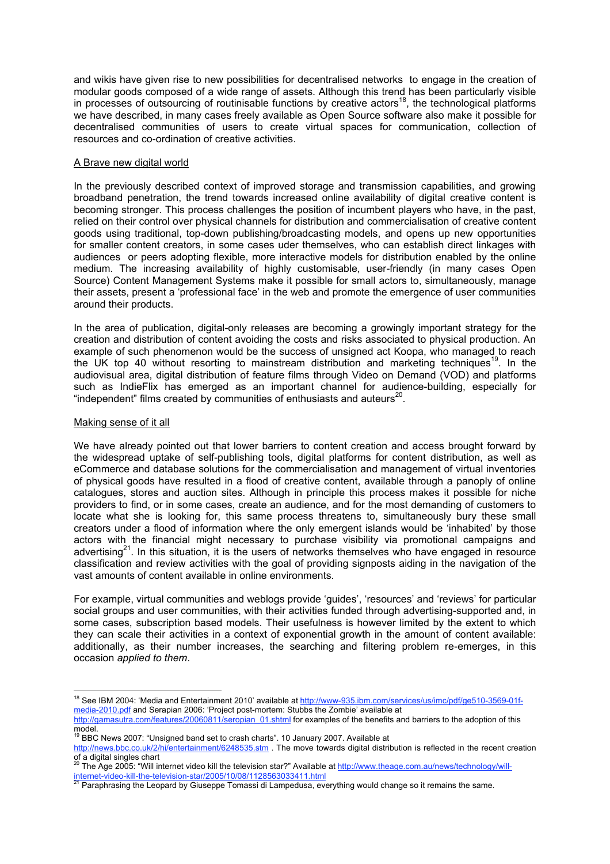and wikis have given rise to new possibilities for decentralised networks to engage in the creation of modular goods composed of a wide range of assets. Although this trend has been particularly visible in processes of outsourcing of routinisable functions by creative actors18, the technological platforms we have described, in many cases freely available as Open Source software also make it possible for decentralised communities of users to create virtual spaces for communication, collection of resources and co-ordination of creative activities.

## A Brave new digital world

In the previously described context of improved storage and transmission capabilities, and growing broadband penetration, the trend towards increased online availability of digital creative content is becoming stronger. This process challenges the position of incumbent players who have, in the past, relied on their control over physical channels for distribution and commercialisation of creative content goods using traditional, top-down publishing/broadcasting models, and opens up new opportunities for smaller content creators, in some cases uder themselves, who can establish direct linkages with audiences or peers adopting flexible, more interactive models for distribution enabled by the online medium. The increasing availability of highly customisable, user-friendly (in many cases Open Source) Content Management Systems make it possible for small actors to, simultaneously, manage their assets, present a 'professional face' in the web and promote the emergence of user communities around their products.

In the area of publication, digital-only releases are becoming a growingly important strategy for the creation and distribution of content avoiding the costs and risks associated to physical production. An example of such phenomenon would be the success of unsigned act Koopa, who managed to reach the UK top 40 without resorting to mainstream distribution and marketing techniques<sup>19</sup>. In the audiovisual area, digital distribution of feature films through Video on Demand (VOD) and platforms such as IndieFlix has emerged as an important channel for audience-building, especially for "independent" films created by communities of enthusiasts and auteurs $^{20}$ .

## Making sense of it all

We have already pointed out that lower barriers to content creation and access brought forward by the widespread uptake of self-publishing tools, digital platforms for content distribution, as well as eCommerce and database solutions for the commercialisation and management of virtual inventories of physical goods have resulted in a flood of creative content, available through a panoply of online catalogues, stores and auction sites. Although in principle this process makes it possible for niche providers to find, or in some cases, create an audience, and for the most demanding of customers to locate what she is looking for, this same process threatens to, simultaneously bury these small creators under a flood of information where the only emergent islands would be 'inhabited' by those actors with the financial might necessary to purchase visibility via promotional campaigns and advertising<sup>21</sup>. In this situation, it is the users of networks themselves who have engaged in resource classification and review activities with the goal of providing signposts aiding in the navigation of the vast amounts of content available in online environments.

For example, virtual communities and weblogs provide 'guides', 'resources' and 'reviews' for particular social groups and user communities, with their activities funded through advertising-supported and, in some cases, subscription based models. Their usefulness is however limited by the extent to which they can scale their activities in a context of exponential growth in the amount of content available: additionally, as their number increases, the searching and filtering problem re-emerges, in this occasion *applied to them*.

<sup>&</sup>lt;sup>18</sup> See IBM 2004: 'Media and Entertainment 2010' available at http://www-935.ibm.com/services/us/imc/pdf/ge510-3569-01fmedia-2010.pdf and Serapian 2006: 'Project post-mortem: Stubbs the Zombie' available at

http://gamasutra.com/features/20060811/seropian\_01.shtml for examples of the benefits and barriers to the adoption of this model.

<sup>&</sup>lt;sup>19</sup> BBC News 2007: "Unsigned band set to crash charts". 10 January 2007. Available at

http://news.bbc.co.uk/2/hi/entertainment/6248535.stm . The move towards digital distribution is reflected in the recent creation of a digital singles chart<br><sup>20</sup> The Age 2005: "Will internet video kill the television star?" Available at <u>http://www.theage.com.au/news/technology/will</u>-

internet-video-kill-the-television-star/2005/10/08/1128563033411.html<br><sup>21</sup> Paraphrasing the Leopard by Giuseppe Tomassi di Lampedusa, everything would change so it remains the same.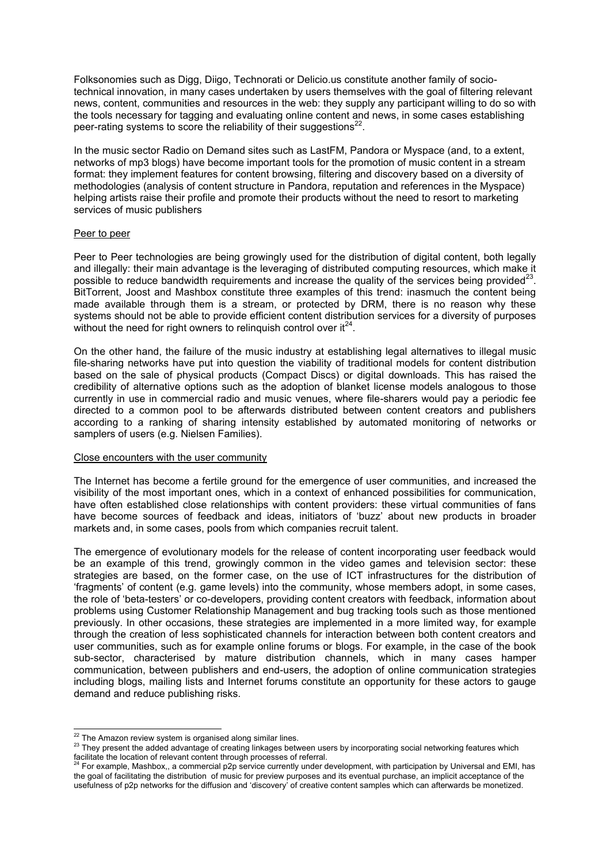Folksonomies such as Digg, Diigo, Technorati or Delicio.us constitute another family of sociotechnical innovation, in many cases undertaken by users themselves with the goal of filtering relevant news, content, communities and resources in the web: they supply any participant willing to do so with the tools necessary for tagging and evaluating online content and news, in some cases establishing peer-rating systems to score the reliability of their suggestions $^{22}$ .

In the music sector Radio on Demand sites such as LastFM, Pandora or Myspace (and, to a extent, networks of mp3 blogs) have become important tools for the promotion of music content in a stream format: they implement features for content browsing, filtering and discovery based on a diversity of methodologies (analysis of content structure in Pandora, reputation and references in the Myspace) helping artists raise their profile and promote their products without the need to resort to marketing services of music publishers

#### Peer to peer

Peer to Peer technologies are being growingly used for the distribution of digital content, both legally and illegally: their main advantage is the leveraging of distributed computing resources, which make it possible to reduce bandwidth requirements and increase the quality of the services being provided<sup>23</sup>. BitTorrent, Joost and Mashbox constitute three examples of this trend: inasmuch the content being made available through them is a stream, or protected by DRM, there is no reason why these systems should not be able to provide efficient content distribution services for a diversity of purposes without the need for right owners to relinquish control over  $it^{24}$ .

On the other hand, the failure of the music industry at establishing legal alternatives to illegal music file-sharing networks have put into question the viability of traditional models for content distribution based on the sale of physical products (Compact Discs) or digital downloads. This has raised the credibility of alternative options such as the adoption of blanket license models analogous to those currently in use in commercial radio and music venues, where file-sharers would pay a periodic fee directed to a common pool to be afterwards distributed between content creators and publishers according to a ranking of sharing intensity established by automated monitoring of networks or samplers of users (e.g. Nielsen Families).

### Close encounters with the user community

The Internet has become a fertile ground for the emergence of user communities, and increased the visibility of the most important ones, which in a context of enhanced possibilities for communication, have often established close relationships with content providers: these virtual communities of fans have become sources of feedback and ideas, initiators of 'buzz' about new products in broader markets and, in some cases, pools from which companies recruit talent.

The emergence of evolutionary models for the release of content incorporating user feedback would be an example of this trend, growingly common in the video games and television sector: these strategies are based, on the former case, on the use of ICT infrastructures for the distribution of 'fragments' of content (e.g. game levels) into the community, whose members adopt, in some cases, the role of 'beta-testers' or co-developers, providing content creators with feedback, information about problems using Customer Relationship Management and bug tracking tools such as those mentioned previously. In other occasions, these strategies are implemented in a more limited way, for example through the creation of less sophisticated channels for interaction between both content creators and user communities, such as for example online forums or blogs. For example, in the case of the book sub-sector, characterised by mature distribution channels, which in many cases hamper communication, between publishers and end-users, the adoption of online communication strategies including blogs, mailing lists and Internet forums constitute an opportunity for these actors to gauge demand and reduce publishing risks.

<sup>&</sup>lt;sup>22</sup> The Amazon review system is organised along similar lines.<br><sup>23</sup> They present the added advantage of creating linkages between users by incorporating social networking features which facilitate the location of relevant content through processes of referral.

<sup>24</sup> For example, Mashbox,, a commercial p2p service currently under development, with participation by Universal and EMI, has the goal of facilitating the distribution of music for preview purposes and its eventual purchase, an implicit acceptance of the usefulness of p2p networks for the diffusion and 'discovery' of creative content samples which can afterwards be monetized.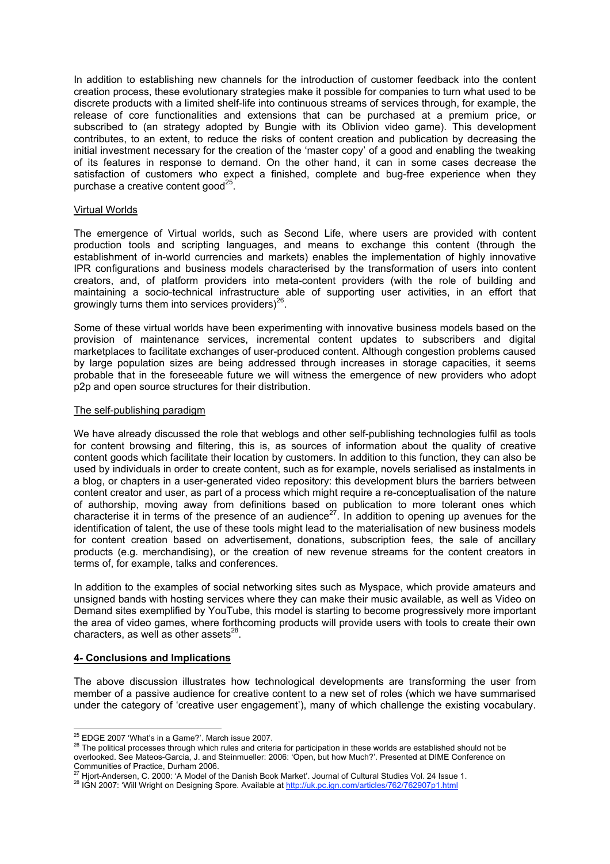In addition to establishing new channels for the introduction of customer feedback into the content creation process, these evolutionary strategies make it possible for companies to turn what used to be discrete products with a limited shelf-life into continuous streams of services through, for example, the release of core functionalities and extensions that can be purchased at a premium price, or subscribed to (an strategy adopted by Bungie with its Oblivion video game). This development contributes, to an extent, to reduce the risks of content creation and publication by decreasing the initial investment necessary for the creation of the 'master copy' of a good and enabling the tweaking of its features in response to demand. On the other hand, it can in some cases decrease the satisfaction of customers who expect a finished, complete and bug-free experience when they purchase a creative content good<sup>25</sup>.

### Virtual Worlds

The emergence of Virtual worlds, such as Second Life, where users are provided with content production tools and scripting languages, and means to exchange this content (through the establishment of in-world currencies and markets) enables the implementation of highly innovative IPR configurations and business models characterised by the transformation of users into content creators, and, of platform providers into meta-content providers (with the role of building and maintaining a socio-technical infrastructure able of supporting user activities, in an effort that growingly turns them into services providers) $^{26}$ .

Some of these virtual worlds have been experimenting with innovative business models based on the provision of maintenance services, incremental content updates to subscribers and digital marketplaces to facilitate exchanges of user-produced content. Although congestion problems caused by large population sizes are being addressed through increases in storage capacities, it seems probable that in the foreseeable future we will witness the emergence of new providers who adopt p2p and open source structures for their distribution.

#### The self-publishing paradigm

We have already discussed the role that weblogs and other self-publishing technologies fulfil as tools for content browsing and filtering, this is, as sources of information about the quality of creative content goods which facilitate their location by customers. In addition to this function, they can also be used by individuals in order to create content, such as for example, novels serialised as instalments in a blog, or chapters in a user-generated video repository: this development blurs the barriers between content creator and user, as part of a process which might require a re-conceptualisation of the nature of authorship, moving away from definitions based on publication to more tolerant ones which characterise it in terms of the presence of an audience<sup>27</sup>. In addition to opening up avenues for the identification of talent, the use of these tools might lead to the materialisation of new business models for content creation based on advertisement, donations, subscription fees, the sale of ancillary products (e.g. merchandising), or the creation of new revenue streams for the content creators in terms of, for example, talks and conferences.

In addition to the examples of social networking sites such as Myspace, which provide amateurs and unsigned bands with hosting services where they can make their music available, as well as Video on Demand sites exemplified by YouTube, this model is starting to become progressively more important the area of video games, where forthcoming products will provide users with tools to create their own characters, as well as other assets $^{28}$ .

### **4- Conclusions and Implications**

The above discussion illustrates how technological developments are transforming the user from member of a passive audience for creative content to a new set of roles (which we have summarised under the category of 'creative user engagement'), many of which challenge the existing vocabulary.

<sup>&</sup>lt;sup>25</sup> EDGE 2007 'What's in a Game?'. March issue 2007.<br><sup>26</sup> The political processes through which rules and criteria for participation in these worlds are established should not be overlooked. See Mateos-Garcia, J. and Steinmueller: 2006: 'Open, but how Much?'. Presented at DIME Conference on Communities of Practice, Durham 2006.<br>
<sup>27</sup> Hiprt-Andersen, C. 2000: 'A Model of the Danish Book Market'. Journal of Cultural Studies Vol. 24 Issue 1.

<sup>&</sup>lt;sup>28</sup> IGN 2007: 'Will Wright on Designing Spore. Available at http://uk.pc.ign.com/articles/762/762907p1.html